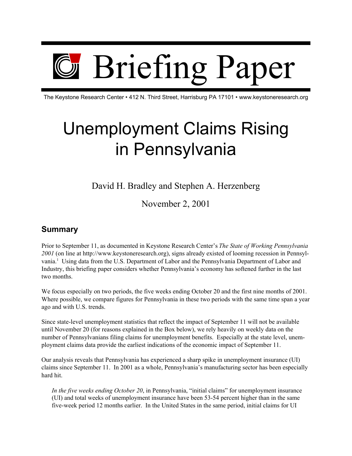

The Keystone Research Center • 412 N. Third Street, Harrisburg PA 17101 • www.keystoneresearch.org

# Unemployment Claims Rising in Pennsylvania

David H. Bradley and Stephen A. Herzenberg

November 2, 2001

#### **Summary**

Prior to September 11, as documented in Keystone Research Center's *The State of Working Pennsylvania 2001* (on line at http://www.keystoneresearch.org), signs already existed of looming recession in Pennsylvania.<sup>1</sup> Using data from the U.S. Department of Labor and the Pennsylvania Department of Labor and Industry, this briefing paper considers whether Pennsylvania's economy has softened further in the last two months.

We focus especially on two periods, the five weeks ending October 20 and the first nine months of 2001. Where possible, we compare figures for Pennsylvania in these two periods with the same time span a year ago and with U.S. trends.

Since state-level unemployment statistics that reflect the impact of September 11 will not be available until November 20 (for reasons explained in the Box below), we rely heavily on weekly data on the number of Pennsylvanians filing claims for unemployment benefits. Especially at the state level, unemployment claims data provide the earliest indications of the economic impact of September 11.

Our analysis reveals that Pennsylvania has experienced a sharp spike in unemployment insurance (UI) claims since September 11. In 2001 as a whole, Pennsylvania's manufacturing sector has been especially hard hit.

*In the five weeks ending October 20*, in Pennsylvania, "initial claims" for unemployment insurance (UI) and total weeks of unemployment insurance have been 53-54 percent higher than in the same five-week period 12 months earlier. In the United States in the same period, initial claims for UI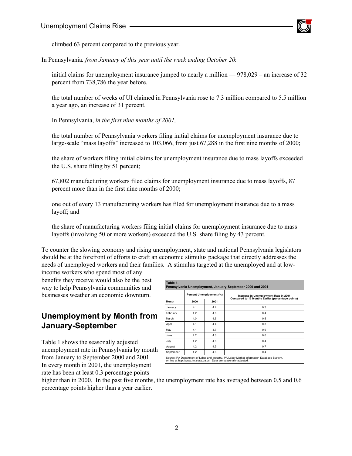

climbed 63 percent compared to the previous year.

In Pennsylvania*, from January of this year until the week ending October 20*:

initial claims for unemployment insurance jumped to nearly a million — 978,029 – an increase of 32 percent from 738,786 the year before.

the total number of weeks of UI claimed in Pennsylvania rose to 7.3 million compared to 5.5 million a year ago, an increase of 31 percent.

In Pennsylvania, *in the first nine months of 2001,*

the total number of Pennsylvania workers filing initial claims for unemployment insurance due to large-scale "mass layoffs" increased to 103,066, from just 67,288 in the first nine months of 2000;

the share of workers filing initial claims for unemployment insurance due to mass layoffs exceeded the U.S. share filing by 51 percent;

67,802 manufacturing workers filed claims for unemployment insurance due to mass layoffs, 87 percent more than in the first nine months of 2000;

one out of every 13 manufacturing workers has filed for unemployment insurance due to a mass layoff; and

the share of manufacturing workers filing initial claims for unemployment insurance due to mass layoffs (involving 50 or more workers) exceeded the U.S. share filing by 43 percent.

To counter the slowing economy and rising unemployment, state and national Pennsylvania legislators should be at the forefront of efforts to craft an economic stimulus package that directly addresses the needs of unemployed workers and their families. A stimulus targeted at the unemployed and at lowincome workers who spend most of any

benefits they receive would also be the best way to help Pennsylvania communities and businesses weather an economic downturn.

## **Unemployment by Month from January-September**

Table 1 shows the seasonally adjusted unemployment rate in Pennsylvania by month from January to September 2000 and 2001. In every month in 2001, the unemployment rate has been at least 0.3 percentage points

| Month     | Percent Unemployment (%) |      | Increase in Unemployment Rate in 2001             |
|-----------|--------------------------|------|---------------------------------------------------|
|           | 2000                     | 2001 | Compared to 12 Months Earlier (percentage points) |
| January   | 4.1                      | 44   | 0.3                                               |
| February  | 4.2                      | 4.6  | 0.4                                               |
| March     | 4.0                      | 4.5  | 0.5                                               |
| April     | 4.1                      | 44   | 0.3                                               |
| May       | 4.1                      | 4.7  | 0.6                                               |
| June.     | 4.2                      | 4.8  | 0.6                                               |
| July      | 4.2                      | 4.6  | 0.4                                               |
| August    | 4.2                      | 4.9  | 0.7                                               |
| September | 4.2                      | 4.6  | 0.4                                               |

higher than in 2000. In the past five months, the unemployment rate has averaged between 0.5 and 0.6 percentage points higher than a year earlier.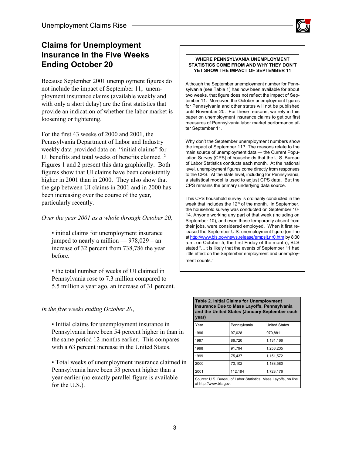#### **Claims for Unemployment Insurance In the Five Weeks Ending October 20**

Because September 2001 unemployment figures do not include the impact of September 11, unemployment insurance claims (available weekly and with only a short delay) are the first statistics that provide an indication of whether the labor market is loosening or tightening.

For the first 43 weeks of 2000 and 2001, the Pennsylvania Department of Labor and Industry weekly data provided data on "initial claims" for UI benefits and total weeks of benefits claimed .<sup>2</sup> Figures 1 and 2 present this data graphically. Both figures show that UI claims have been consistently higher in 2001 than in 2000. They also show that the gap between UI claims in 2001 and in 2000 has been increasing over the course of the year, particularly recently.

*Over the year 2001 as a whole through October 20,*

• initial claims for unemployment insurance jumped to nearly a million  $-978,029$  – an increase of 32 percent from 738,786 the year before.

• the total number of weeks of UI claimed in Pennsylvania rose to 7.3 million compared to 5.5 million a year ago, an increase of 31 percent.

#### *In the five weeks ending October 20*,

• Initial claims for unemployment insurance in Pennsylvania have been 54 percent higher in than in the same period 12 months earlier. This compares with a 63 percent increase in the United States.

• Total weeks of unemployment insurance claimed in Pennsylvania have been 53 percent higher than a year earlier (no exactly parallel figure is available for the U.S.).

#### **WHERE PENNSYLVANIA UNEMPLOYMENT STATISTICS COME FROM AND WHY THEY DON'T YET SHOW THE IMPACT OF SEPTEMBER 11**

Although the September unemployment number for Pennsylvania (see Table 1) has now been available for about two weeks, that figure does not reflect the impact of September 11. Moreover, the October unemployment figures for Pennsylvania and other states will not be published until November 20. For these reasons, we rely in this paper on unemployment insurance claims to get our first measures of Pennsylvania labor market performance after September 11.

Why don't the September unemployment numbers show the impact of September 11? The reasons relate to the main source of unemployment data — the Current Population Survey (CPS) of households that the U.S. Bureau of Labor Statistics conducts each month. At the national level, unemployment figures come directly from responses to the CPS. At the state level, including for Pennsylvania, a statistical model is used to adjust CPS data. But the CPS remains the primary underlying data source.

This CPS household survey is ordinarily conducted in the week that includes the  $12<sup>th</sup>$  of the month. In September, the household survey was conducted on September 10- 14. Anyone working any part of that week (including on September 10), and even those temporarily absent from their jobs, were considered employed. When it first released the September U.S. unemployment figure (on line at http://www.bls.gov/news.release/empsit.nr0.htm by 8:30 a.m. on October 5, the first Friday of the month), BLS stated "…it is likely that the events of September 11 had little effect on the September employment and unemployment counts."

#### **Table 2. Initial Claims for Unemployment Insurance Due to Mass Layoffs, Pennsylvania and the United States (January-September each year)**

| Year                   | Pennsylvania                                                   | <b>United States</b> |  |
|------------------------|----------------------------------------------------------------|----------------------|--|
| 1996                   | 97,028                                                         | 970,881              |  |
| 1997                   | 86,720                                                         | 1,131,166            |  |
| 1998                   | 91,794                                                         | 1,258,235            |  |
| 1999                   | 75,437                                                         | 1,151,572            |  |
| 2000                   | 73,102                                                         | 1,188,580            |  |
| 2001                   | 112,184                                                        | 1,723,176            |  |
| at http://www.bls.gov. | Source: U.S. Bureau of Labor Statistics, Mass Layoffs, on line |                      |  |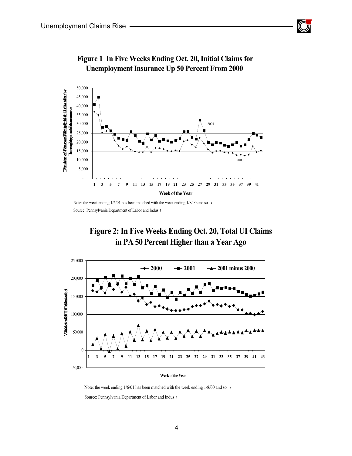



#### **Figure 1 In Five Weeks Ending Oct. 20, Initial Claims for Unemployment Insurance Up 50 Percent From 2000**

Note: the week ending  $1/6/01$  has been matched with the week ending  $1/8/00$  and so  $\alpha$ Source: Pennsylvania Department of Labor and Indus t

## **Figure 2: In Five Weeks Ending Oct. 20, Total UI Claims in PA 50 Percent Higher than a Year Ago**



**Week of the Year**

Note: the week ending  $1/6/01$  has been matched with the week ending  $1/8/00$  and so  $\alpha$ 

Source: Pennsylvania Department of Labor and Indus t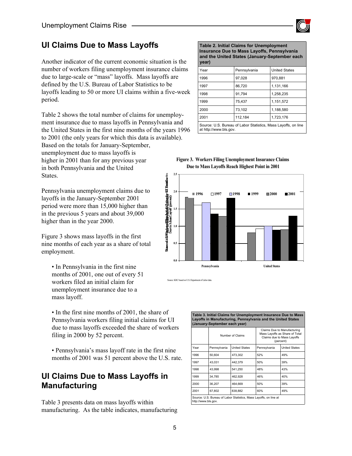

#### **UI Claims Due to Mass Layoffs**

Another indicator of the current economic situation is the number of workers filing unemployment insurance claims due to large-scale or "mass" layoffs. Mass layoffs are defined by the U.S. Bureau of Labor Statistics to be layoffs leading to 50 or more UI claims within a five-week period.

Table 2 shows the total number of claims for unemployment insurance due to mass layoffs in Pennsylvania and the United States in the first nine months of the years 1996

to 2001 (the only years for which this data is available). Based on the totals for January-September, unemployment due to mass layoffs is higher in 2001 than for any previous year in both Pennsylvania and the United States.

Pennsylvania unemployment claims due to layoffs in the January-September 2001 period were more than 15,000 higher than in the previous 5 years and about 39,000 higher than in the year 2000.

Figure 3 shows mass layoffs in the first nine months of each year as a share of total employment.

- In Pennsylvania in the first nine months of 2001, one out of every 51 workers filed an initial claim for unemployment insurance due to a mass layoff.
- In the first nine months of 2001, the share of Pennsylvania workers filing initial claims for UI due to mass layoffs exceeded the share of workers filing in 2000 by 52 percent.
- Pennsylvania's mass layoff rate in the first nine months of 2001 was 51 percent above the U.S. rate.

## **UI Claims Due to Mass Layoffs in Manufacturing**

Table 3 presents data on mass layoffs within manufacturing. As the table indicates, manufacturing

**Table 2. Initial Claims for Unemployment Insurance Due to Mass Layoffs, Pennsylvania and the United States (January-September each year)**

| Year                   | Pennsylvania                                                   | <b>United States</b> |
|------------------------|----------------------------------------------------------------|----------------------|
| 1996                   | 97,028                                                         | 970,881              |
| 1997                   | 86.720                                                         | 1.131.166            |
| 1998                   | 91.794                                                         | 1,258,235            |
| 1999                   | 75.437                                                         | 1,151,572            |
| 2000                   | 73.102                                                         | 1,188,580            |
| 2001                   | 112,184                                                        | 1,723,176            |
| at http://www.bls.gov. | Source: U.S. Bureau of Labor Statistics, Mass Layoffs, on line |                      |





Source: KRC based on U.S. Department of Labor data.

| Table 3. Initial Claims for Unemployment Insurance Due to Mass<br>Layoffs in Manufacturing, Pennsylvania and the United States<br>(January-September each year) |                  |                                                                   |                                                                                                          |                      |
|-----------------------------------------------------------------------------------------------------------------------------------------------------------------|------------------|-------------------------------------------------------------------|----------------------------------------------------------------------------------------------------------|----------------------|
|                                                                                                                                                                 | Number of Claims |                                                                   | Claims Due to Manufacturing<br>Mass Layoffs as Share of Total<br>Claims due to Mass Layoffs<br>(percent) |                      |
| Year                                                                                                                                                            | Pennsylvania     | <b>United States</b>                                              | Pennsylvania                                                                                             | <b>United States</b> |
| 1996                                                                                                                                                            | 50.604           | 473.302                                                           | 52%                                                                                                      | 49%                  |
| 1997                                                                                                                                                            | 43.031           | 442.379                                                           | 50%                                                                                                      | 39%                  |
| 1998                                                                                                                                                            | 43,998           | 541,250                                                           | 48%                                                                                                      | 43%                  |
| 1999                                                                                                                                                            | 34,785           | 462,928                                                           | 46%                                                                                                      | 40%                  |
| 2000                                                                                                                                                            | 36,207           | 464,669                                                           | 50%                                                                                                      | 39%                  |
| 2001                                                                                                                                                            | 67.802           | 838.882                                                           | 60%                                                                                                      | 49%                  |
| http://www.bls.gov.                                                                                                                                             |                  | Source: U.S. Bureau of Labor Statistics, Mass Layoffs, on line at |                                                                                                          |                      |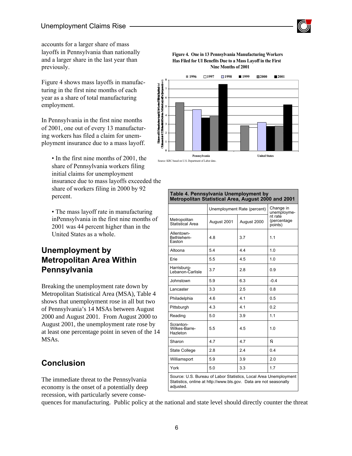

accounts for a larger share of mass layoffs in Pennsylvania than nationally and a larger share in the last year than previously.

Figure 4 shows mass layoffs in manufacturing in the first nine months of each year as a share of total manufacturing employment.

In Pennsylvania in the first nine months of 2001, one out of every 13 manufacturing workers has filed a claim for unemployment insurance due to a mass layoff.

• In the first nine months of 2001, the share of Pennsylvania workers filing initial claims for unemployment insurance due to mass layoffs exceeded the share of workers filing in 2000 by 92 percent.

• The mass layoff rate in manufacturing inPennsylvania in the first nine months of 2001 was 44 percent higher than in the United States as a whole.

#### **Unemployment by Metropolitan Area Within Pennsylvania**

Breaking the unemployment rate down by Metropolitan Statistical Area (MSA), Table 4 shows that unemployment rose in all but two of Pennsylvania's 14 MSAs between August 2000 and August 2001. From August 2000 to August 2001, the unemployment rate rose by at least one percentage point in seven of the 14 MSAs.

## **Conclusion**

The immediate threat to the Pennsylvania economy is the onset of a potentially deep recession, with particularly severe conse-

#### **Figure 4. One in 13 Pennsylvania Manufacturing Workers Has Filed for UI Benefits Due to a Mass Layoff in the First Nine Months of 2001**



|                                        | Unemployment Rate (percent) |             | Change in<br>unemployme-           |  |
|----------------------------------------|-----------------------------|-------------|------------------------------------|--|
| Metropolitan<br>Statistical Area       | August 2001                 | August 2000 | nt rate<br>(percentage)<br>points) |  |
| Allentown-<br>Bethlehem-<br>Easton     | 4.8                         | 3.7         | 1.1                                |  |
| Altoona                                | 5.4                         | 4.4         | 1.0                                |  |
| Erie                                   | 5.5                         | 4.5         | 1.0                                |  |
| Harrisburg-<br>Lebanon-Carlisle        | 3.7                         | 2.8         | 0.9                                |  |
| Johnstown                              | 5.9                         | 6.3         | $-0.4$                             |  |
| Lancaster                              | 3.3                         | 2.5         | 0.8                                |  |
| Philadelphia                           | 4.6                         | 4.1         | 0.5                                |  |
| Pittsburgh                             | 4.3                         | 4.1         | 0.2                                |  |
| Reading                                | 5.0                         | 3.9         | 1.1                                |  |
| Scranton-<br>Wilkes-Barre-<br>Hazleton | 5.5                         | 4.5         | 1.0                                |  |
| Sharon                                 | 4.7                         | 4.7         | Ñ                                  |  |
| <b>State College</b>                   | 2.8                         | 2.4         | 0.4                                |  |
| Williamsport                           | 5.9                         | 3.9         | 2.0                                |  |
| York                                   | 5.0                         | 3.3         | 1.7                                |  |

**Table 4. Pennsylvania Unemployment by Metropolitan Statistical Area, August 2000 and 2001**

quences for manufacturing. Public policy at the national and state level should directly counter the threat